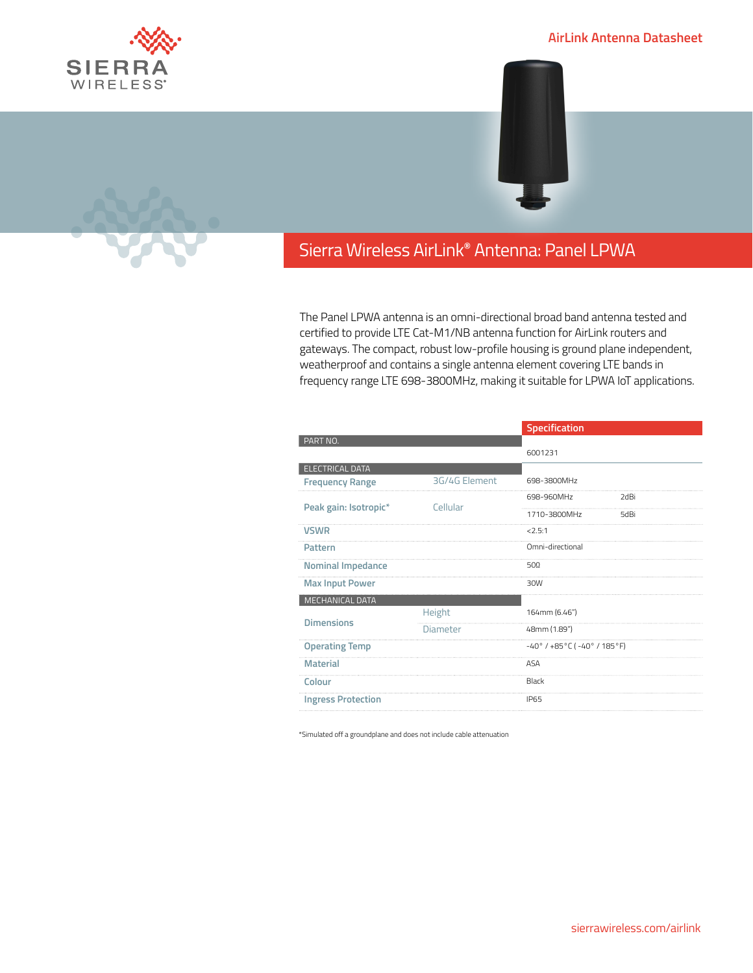

## **AirLink Antenna Datasheet**



## Sierra Wireless **EMBEDDED MODULES HL SERIES** AirLink**®** Antenna: Panel LPWA

The Panel LPWA antenna is an omni-directional broad band antenna tested and certified to provide LTE Cat-M1/NB antenna function for AirLink routers and gateways. The compact, robust low-profile housing is ground plane independent, weatherproof and contains a single antenna element covering LTE bands in frequency range LTE 698-3800MHz, making it suitable for LPWA IoT applications.

|                           |                 | Specification                                            |      |
|---------------------------|-----------------|----------------------------------------------------------|------|
| PART NO.                  |                 |                                                          |      |
|                           |                 | 6001231                                                  |      |
| ELECTRICAL DATA           |                 |                                                          |      |
| <b>Frequency Range</b>    | 3G/4G Element   | 698-3800MHz                                              |      |
| Peak gain: Isotropic*     | Cellular        | 698-960MHz                                               | 2dBi |
|                           |                 | 1710-3800MHz                                             | 5dBi |
| <b>VSWR</b>               |                 | 2.5:1                                                    |      |
| Pattern                   |                 | Omni-directional                                         |      |
| <b>Nominal Impedance</b>  |                 | $50\Omega$                                               |      |
| <b>Max Input Power</b>    |                 | 30W                                                      |      |
| MECHANICAL DATA           |                 |                                                          |      |
| <b>Dimensions</b>         | Height          | 164mm (6.46")                                            |      |
|                           | <b>Diameter</b> | 48mm (1.89")                                             |      |
| <b>Operating Temp</b>     |                 | $-40^{\circ}$ / $+85^{\circ}$ C ( $-40^{\circ}$ / 185°F) |      |
| <b>Material</b>           |                 | <b>ASA</b>                                               |      |
| Colour                    |                 | Black                                                    |      |
| <b>Ingress Protection</b> |                 | <b>IP65</b>                                              |      |
|                           |                 |                                                          |      |

\*Simulated off a groundplane and does not include cable attenuation